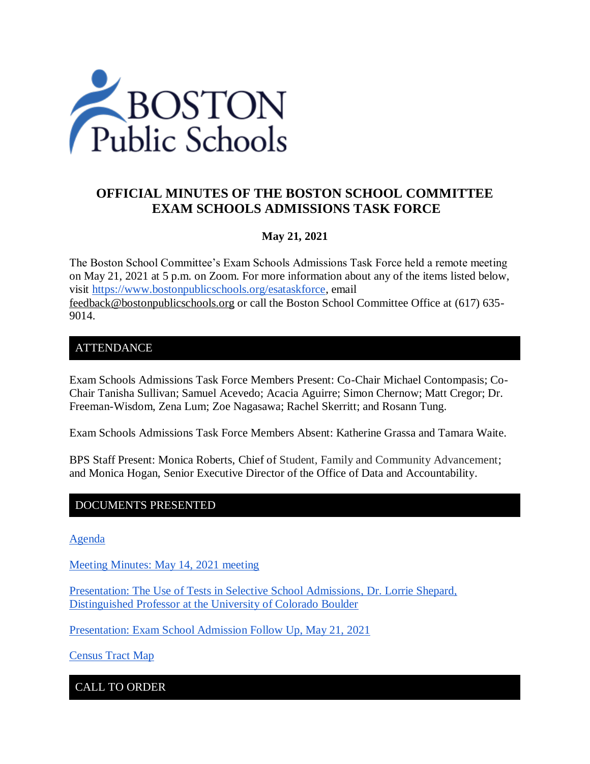

# **OFFICIAL MINUTES OF THE BOSTON SCHOOL COMMITTEE EXAM SCHOOLS ADMISSIONS TASK FORCE**

### **May 21, 2021**

The Boston School Committee's Exam Schools Admissions Task Force held a remote meeting on May 21, 2021 at 5 p.m. on Zoom. For more information about any of the items listed below, visit [https://www.bostonpublicschools.org/esataskforce,](https://www.bostonpublicschools.org/esataskforce) email [feedback@bostonpublicschools.org](mailto:feedback@bostonpublicschools.org) or call the Boston School Committee Office at (617) 635- 9014.

### ATTENDANCE

Exam Schools Admissions Task Force Members Present: Co-Chair Michael Contompasis; Co-Chair Tanisha Sullivan; Samuel Acevedo; Acacia Aguirre; Simon Chernow; Matt Cregor; Dr. Freeman-Wisdom, Zena Lum; Zoe Nagasawa; Rachel Skerritt; and Rosann Tung.

Exam Schools Admissions Task Force Members Absent: Katherine Grassa and Tamara Waite.

BPS Staff Present: Monica Roberts, Chief of Student, Family and Community Advancement; and Monica Hogan, Senior Executive Director of the Office of Data and Accountability.

### DOCUMENTS PRESENTED

[Agenda](https://www.boston.gov/public-notices/15082826)

[Meeting Minutes: May 14, 2021 meeting](https://www.bostonpublicschools.org/cms/lib/MA01906464/Centricity/Domain/2931/Minutes%205%2014%2021%20Exam%20School%20Admission%20TF%20Meeting.docx%20.pdf)

[Presentation: The Use of Tests in Selective School Admissions, Dr. Lorrie Shepard,](https://www.bostonpublicschools.org/cms/lib/MA01906464/Centricity/Domain/2931/Boston%20Exam%20Schools%20Shepard%20presentation%20.pdf)  [Distinguished Professor at the University of Colorado Boulder](https://www.bostonpublicschools.org/cms/lib/MA01906464/Centricity/Domain/2931/Boston%20Exam%20Schools%20Shepard%20presentation%20.pdf)

[Presentation: Exam School Admission Follow Up, May 21, 2021](https://www.bostonpublicschools.org/cms/lib/MA01906464/Centricity/Domain/2931/Exam%20School%20Task%20Force%20Follow%20Up%20%205%2021%2021.pdf)

[Census Tract Map](https://public.tableau.com/profile/office.of.data.and.accountability#!/vizhome/BPSCensusTractMap_16216263995580/CensusTractMap)

CALL TO ORDER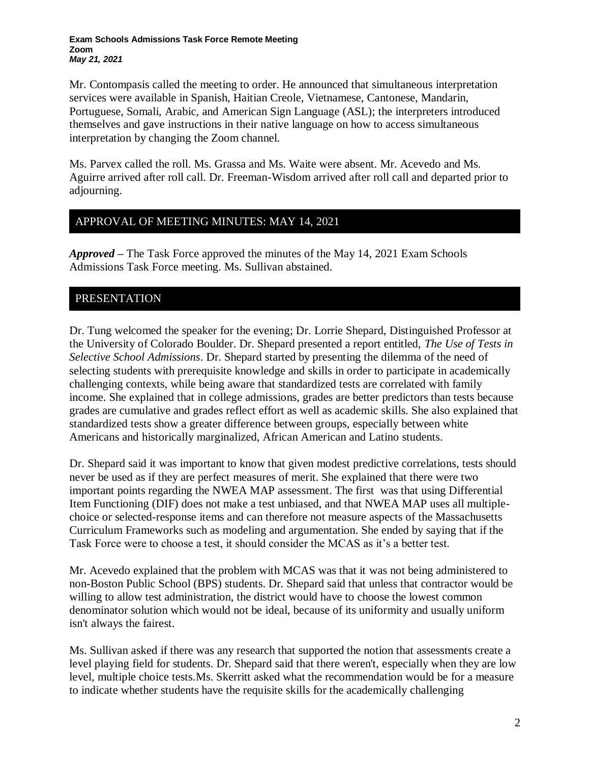Mr. Contompasis called the meeting to order. He announced that simultaneous interpretation services were available in Spanish, Haitian Creole, Vietnamese, Cantonese, Mandarin, Portuguese, Somali, Arabic, and American Sign Language (ASL); the interpreters introduced themselves and gave instructions in their native language on how to access simultaneous interpretation by changing the Zoom channel.

Ms. Parvex called the roll. Ms. Grassa and Ms. Waite were absent. Mr. Acevedo and Ms. Aguirre arrived after roll call. Dr. Freeman-Wisdom arrived after roll call and departed prior to adjourning.

### APPROVAL OF MEETING MINUTES: MAY 14, 2021

*Approved –* The Task Force approved the minutes of the May 14, 2021 Exam Schools Admissions Task Force meeting. Ms. Sullivan abstained.

### PRESENTATION

Dr. Tung welcomed the speaker for the evening; Dr. Lorrie Shepard, Distinguished Professor at the University of Colorado Boulder. Dr. Shepard presented a report entitled, *The Use of Tests in Selective School Admissions*. Dr. Shepard started by presenting the dilemma of the need of selecting students with prerequisite knowledge and skills in order to participate in academically challenging contexts, while being aware that standardized tests are correlated with family income. She explained that in college admissions, grades are better predictors than tests because grades are cumulative and grades reflect effort as well as academic skills. She also explained that standardized tests show a greater difference between groups, especially between white Americans and historically marginalized, African American and Latino students.

Dr. Shepard said it was important to know that given modest predictive correlations, tests should never be used as if they are perfect measures of merit. She explained that there were two important points regarding the NWEA MAP assessment. The first was that using Differential Item Functioning (DIF) does not make a test unbiased, and that NWEA MAP uses all multiplechoice or selected-response items and can therefore not measure aspects of the Massachusetts Curriculum Frameworks such as modeling and argumentation. She ended by saying that if the Task Force were to choose a test, it should consider the MCAS as it's a better test.

Mr. Acevedo explained that the problem with MCAS was that it was not being administered to non-Boston Public School (BPS) students. Dr. Shepard said that unless that contractor would be willing to allow test administration, the district would have to choose the lowest common denominator solution which would not be ideal, because of its uniformity and usually uniform isn't always the fairest.

Ms. Sullivan asked if there was any research that supported the notion that assessments create a level playing field for students. Dr. Shepard said that there weren't, especially when they are low level, multiple choice tests.Ms. Skerritt asked what the recommendation would be for a measure to indicate whether students have the requisite skills for the academically challenging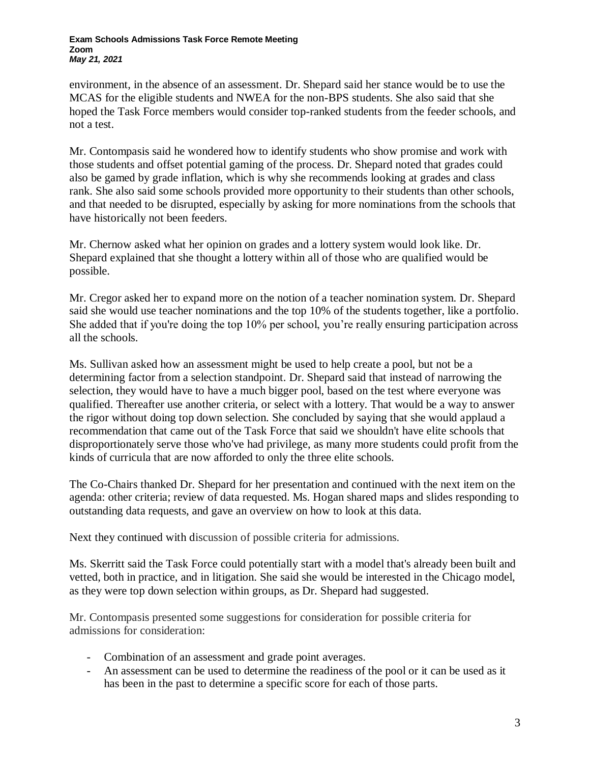#### **Exam Schools Admissions Task Force Remote Meeting Zoom** *May 21, 2021*

environment, in the absence of an assessment. Dr. Shepard said her stance would be to use the MCAS for the eligible students and NWEA for the non-BPS students. She also said that she hoped the Task Force members would consider top-ranked students from the feeder schools, and not a test.

Mr. Contompasis said he wondered how to identify students who show promise and work with those students and offset potential gaming of the process. Dr. Shepard noted that grades could also be gamed by grade inflation, which is why she recommends looking at grades and class rank. She also said some schools provided more opportunity to their students than other schools, and that needed to be disrupted, especially by asking for more nominations from the schools that have historically not been feeders.

Mr. Chernow asked what her opinion on grades and a lottery system would look like. Dr. Shepard explained that she thought a lottery within all of those who are qualified would be possible.

Mr. Cregor asked her to expand more on the notion of a teacher nomination system. Dr. Shepard said she would use teacher nominations and the top 10% of the students together, like a portfolio. She added that if you're doing the top 10% per school, you're really ensuring participation across all the schools.

Ms. Sullivan asked how an assessment might be used to help create a pool, but not be a determining factor from a selection standpoint. Dr. Shepard said that instead of narrowing the selection, they would have to have a much bigger pool, based on the test where everyone was qualified. Thereafter use another criteria, or select with a lottery. That would be a way to answer the rigor without doing top down selection. She concluded by saying that she would applaud a recommendation that came out of the Task Force that said we shouldn't have elite schools that disproportionately serve those who've had privilege, as many more students could profit from the kinds of curricula that are now afforded to only the three elite schools.

The Co-Chairs thanked Dr. Shepard for her presentation and continued with the next item on the agenda: other criteria; review of data requested. Ms. Hogan shared maps and slides responding to outstanding data requests, and gave an overview on how to look at this data.

Next they continued with discussion of possible criteria for admissions.

Ms. Skerritt said the Task Force could potentially start with a model that's already been built and vetted, both in practice, and in litigation. She said she would be interested in the Chicago model, as they were top down selection within groups, as Dr. Shepard had suggested.

Mr. Contompasis presented some suggestions for consideration for possible criteria for admissions for consideration:

- Combination of an assessment and grade point averages.
- An assessment can be used to determine the readiness of the pool or it can be used as it has been in the past to determine a specific score for each of those parts.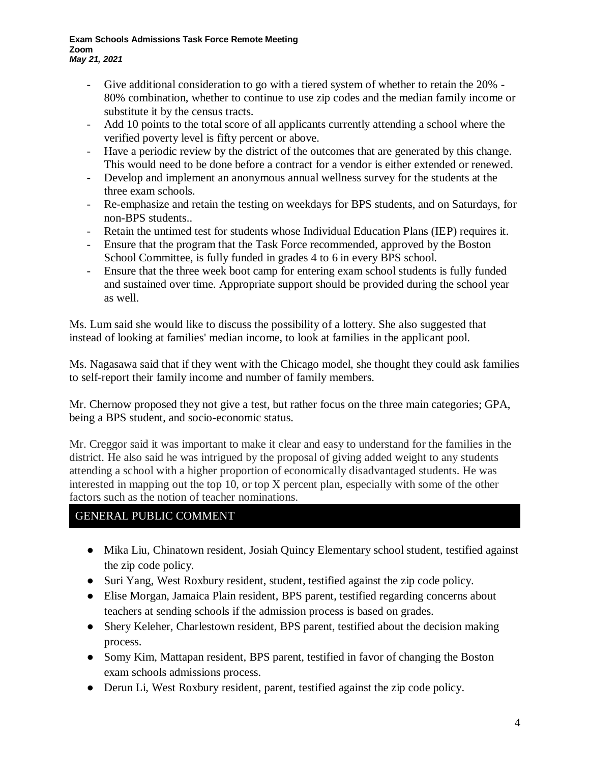#### **Exam Schools Admissions Task Force Remote Meeting Zoom** *May 21, 2021*

- Give additional consideration to go with a tiered system of whether to retain the 20% 80% combination, whether to continue to use zip codes and the median family income or substitute it by the census tracts.
- Add 10 points to the total score of all applicants currently attending a school where the verified poverty level is fifty percent or above.
- Have a periodic review by the district of the outcomes that are generated by this change. This would need to be done before a contract for a vendor is either extended or renewed.
- Develop and implement an anonymous annual wellness survey for the students at the three exam schools.
- Re-emphasize and retain the testing on weekdays for BPS students, and on Saturdays, for non-BPS students..
- Retain the untimed test for students whose Individual Education Plans (IEP) requires it.
- Ensure that the program that the Task Force recommended, approved by the Boston School Committee, is fully funded in grades 4 to 6 in every BPS school.
- Ensure that the three week boot camp for entering exam school students is fully funded and sustained over time. Appropriate support should be provided during the school year as well.

Ms. Lum said she would like to discuss the possibility of a lottery. She also suggested that instead of looking at families' median income, to look at families in the applicant pool.

Ms. Nagasawa said that if they went with the Chicago model, she thought they could ask families to self-report their family income and number of family members.

Mr. Chernow proposed they not give a test, but rather focus on the three main categories; GPA, being a BPS student, and socio-economic status.

Mr. Creggor said it was important to make it clear and easy to understand for the families in the district. He also said he was intrigued by the proposal of giving added weight to any students attending a school with a higher proportion of economically disadvantaged students. He was interested in mapping out the top 10, or top X percent plan, especially with some of the other factors such as the notion of teacher nominations.

### GENERAL PUBLIC COMMENT

- Mika Liu, Chinatown resident, Josiah Quincy Elementary school student, testified against the zip code policy.
- Suri Yang, West Roxbury resident, student, testified against the zip code policy.
- Elise Morgan, Jamaica Plain resident, BPS parent, testified regarding concerns about teachers at sending schools if the admission process is based on grades.
- Shery Keleher, Charlestown resident, BPS parent, testified about the decision making process.
- Somy Kim, Mattapan resident, BPS parent, testified in favor of changing the Boston exam schools admissions process.
- Derun Li, West Roxbury resident, parent, testified against the zip code policy.